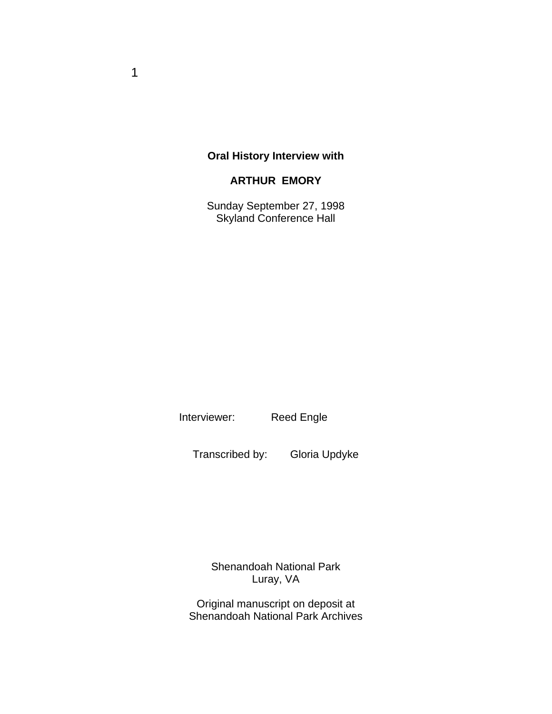### **Oral History Interview with**

## **ARTHUR EMORY**

Sunday September 27, 1998 Skyland Conference Hall

Interviewer: Reed Engle

Transcribed by: Gloria Updyke

Shenandoah National Park Luray, VA

Original manuscript on deposit at Shenandoah National Park Archives

1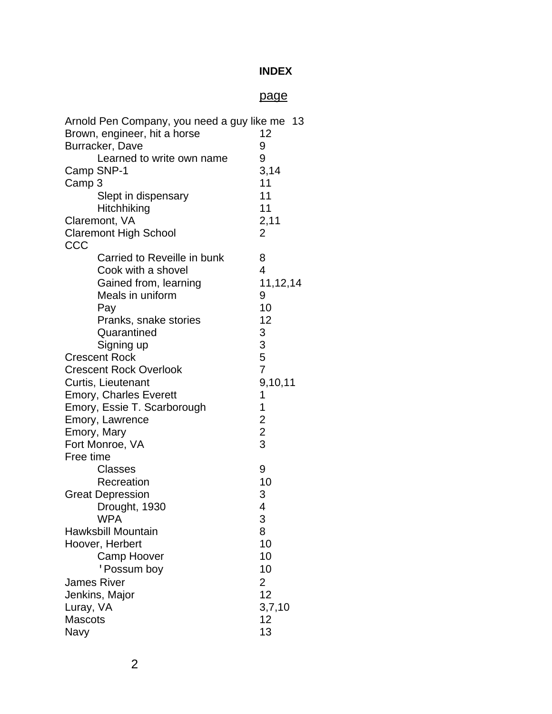### **INDEX**

# page

<span id="page-1-0"></span>

| Arnold Pen Company, you need a guy like me 13 |                         |
|-----------------------------------------------|-------------------------|
| Brown, engineer, hit a horse                  | 12                      |
| Burracker, Dave                               | 9                       |
| Learned to write own name                     | 9                       |
| Camp SNP-1                                    | 3,14                    |
| Camp 3                                        | 11                      |
| Slept in dispensary                           | 11                      |
| Hitchhiking                                   | 11                      |
| Claremont, VA                                 | 2,11                    |
| <b>Claremont High School</b>                  | 2                       |
| CCC                                           |                         |
| Carried to Reveille in bunk                   | 8                       |
| Cook with a shovel                            | 4                       |
| Gained from, learning                         | 11,12,14                |
| Meals in uniform                              | 9                       |
| Pay                                           | 10                      |
| Pranks, snake stories                         | 12                      |
| Quarantined                                   | 3                       |
| Signing up                                    | 3                       |
| <b>Crescent Rock</b>                          | 5                       |
| <b>Crescent Rock Overlook</b>                 | $\overline{7}$          |
| Curtis, Lieutenant                            | 9,10,11                 |
| <b>Emory, Charles Everett</b>                 | 1                       |
| Emory, Essie T. Scarborough                   | 1                       |
| Emory, Lawrence                               | $\overline{c}$          |
| Emory, Mary                                   | $\overline{\mathbf{c}}$ |
| Fort Monroe, VA                               | 3                       |
| Free time                                     |                         |
| <b>Classes</b>                                | 9                       |
| Recreation                                    | 10                      |
| <b>Great Depression</b>                       | 3                       |
| Drought, 1930                                 | 4                       |
| <b>WPA</b>                                    | 3                       |
| Hawksbill Mountain                            | 8                       |
| Hoover, Herbert                               | 10                      |
| <b>Camp Hoover</b>                            | 10                      |
| ' Possum boy                                  | 10                      |
| <b>James River</b>                            | $\overline{2}$          |
| Jenkins, Major                                | 12                      |
| Luray, VA                                     | 3,7,10                  |
| <b>Mascots</b>                                | 12                      |
| Navy                                          | 13                      |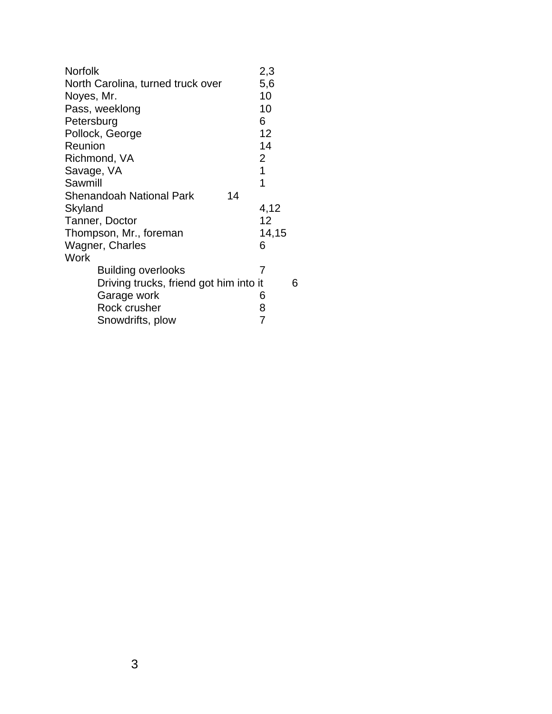| Norfolk                                | 2,3   |   |
|----------------------------------------|-------|---|
| North Carolina, turned truck over      | 5,6   |   |
| Noyes, Mr.                             | 10    |   |
| Pass, weeklong                         | 10    |   |
| Petersburg                             | 6     |   |
| Pollock, George                        | 12    |   |
| Reunion                                | 14    |   |
| Richmond, VA                           | 2     |   |
| Savage, VA                             | 1     |   |
| Sawmill                                | 1     |   |
| <b>Shenandoah National Park</b><br>14  |       |   |
| Skyland                                | 4,12  |   |
| Tanner, Doctor                         | 12    |   |
| Thompson, Mr., foreman                 | 14,15 |   |
| Wagner, Charles                        | 6     |   |
| Work                                   |       |   |
| <b>Building overlooks</b>              | 7     |   |
| Driving trucks, friend got him into it |       | 6 |
| Garage work                            | 6     |   |
| Rock crusher                           | 8     |   |
| Snowdrifts, plow                       | 7     |   |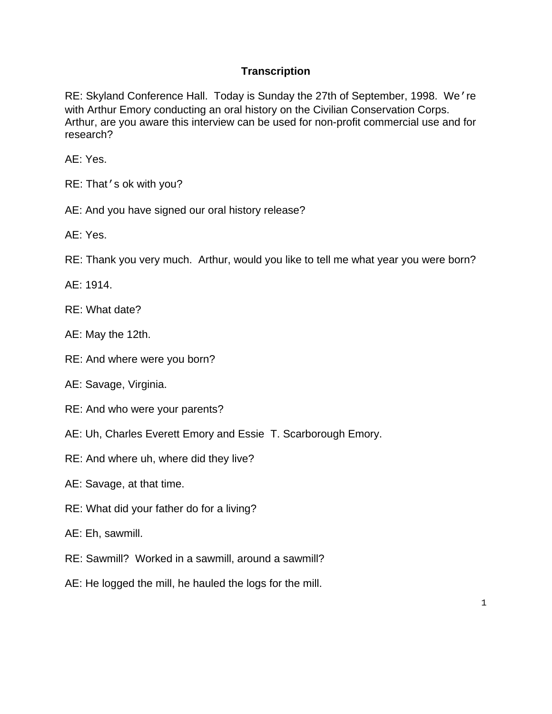### **Transcription**

 RE: Skyland Conference Hall. Today is Sunday the 27th of September, 1998. We're with Arthur Emory conducting an oral history on the Civilian Conservation Corps. Arthur, are you aware this interview can be used for non-profit commercial use and for research?

AE: Yes.

- RE: That's ok with you?
- AE: And you have signed our oral history release?

AE: Yes.

RE: Thank you very much. Arthur, would you like to tell me what year you were born?

AE: 1914.

- RF: What date?
- AE: May the 12th.
- RE: And where were you born?
- AE: Savage, Virginia.
- RE: And who were your parents?
- AE: Uh, Charles Everett Emory and Essie T. Scarborough Emory.
- RE: And where uh, where did they live?
- AE: Savage, at that time.
- RE: What did your father do for a living?
- AE: Eh, sawmill.
- RE: Sawmill? Worked in a sawmill, around a sawmill?
- AE: He logged the mill, he hauled the logs for the mill.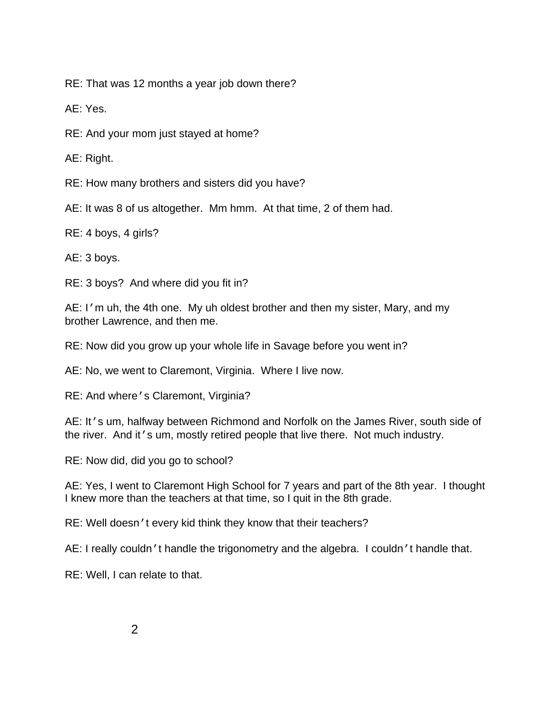RE: That was 12 months a year job down there?

AE: Yes.

RE: And your mom just stayed at home?

AE: Right.

RE: How many brothers and sisters did you have?

AE: It was 8 of us altogether. Mm hmm. At that time, 2 of them had.

RE: 4 boys, 4 girls?

AE: 3 boys.

RE: 3 boys? And where did you fit in?

AE: I'm uh, the 4th one. My uh oldest brother and then my sister, Mary, and my brother Lawrence, and then me.

RE: Now did you grow up your whole life in Savage before you went in?

AE: No, we went to Claremont, Virginia. Where I live now.

RE: And where's Claremont, Virginia?

AE: It's um, halfway between Richmond and Norfolk on the James River, south side of the river. And it's um, mostly retired people that live there. Not much industry.

RE: Now did, did you go to school?

 AE: Yes, I went to Claremont High School for 7 years and part of the 8th year. I thought I knew more than the teachers at that time, so I quit in the 8th grade.

RE: Well doesn't every kid think they know that their teachers?

AE: I really couldn't handle the trigonometry and the algebra. I couldn't handle that.

RE: Well, I can relate to that.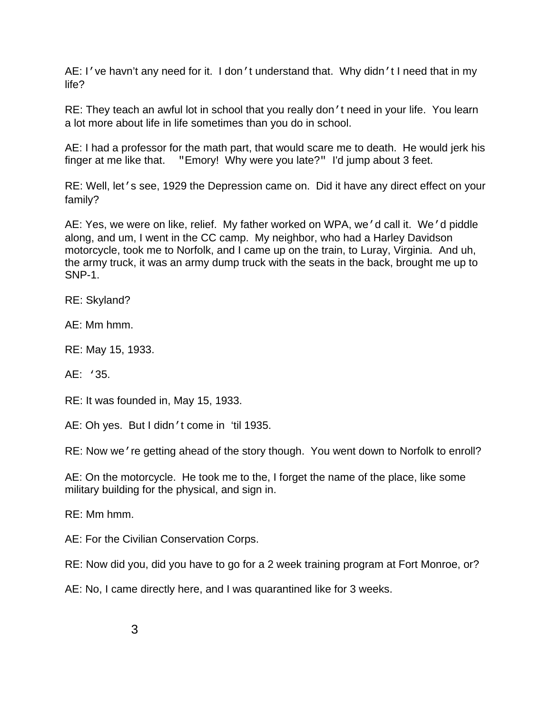AE: I've havn't any need for it. I don't understand that. Why didn't I need that in my life?

RE: They teach an awful lot in school that you really don't need in your life. You learn a lot more about life in life sometimes than you do in school.

 finger at me like that. "Emory! Why were you late?" I'd jump about 3 feet. AE: I had a professor for the math part, that would scare me to death. He would jerk his

RE: Well, let's see, 1929 the Depression came on. Did it have any direct effect on your family?

 AE: Yes, we were on like, relief. My father worked on WPA, we'd call it. We'd piddle along, and um, I went in the CC camp. My neighbor, who had a Harley Davidson motorcycle, took me to Norfolk, and I came up on the train, to Luray, Virginia. And uh, the army truck, it was an army dump truck with the seats in the back, brought me up to SNP-1.

RE: Skyland?

AE: Mm hmm.

RE: May 15, 1933.

AE: '35.

RE: It was founded in, May 15, 1933.

AE: Oh yes. But I didn't come in 'til 1935.

RE: Now we're getting ahead of the story though. You went down to Norfolk to enroll?

AE: On the motorcycle. He took me to the, I forget the name of the place, like some military building for the physical, and sign in.

RE: Mm hmm.

AE: For the Civilian Conservation Corps.

RE: Now did you, did you have to go for a 2 week training program at Fort Monroe, or?

AE: No, I came directly here, and I was quarantined like for 3 weeks.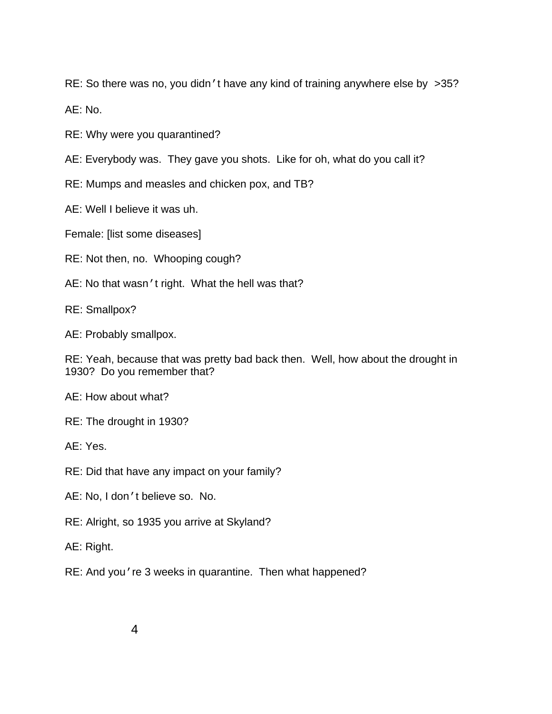RE: So there was no, you didn't have any kind of training anywhere else by >35?

AE: No.

RE: Why were you quarantined?

AE: Everybody was. They gave you shots. Like for oh, what do you call it?

RE: Mumps and measles and chicken pox, and TB?

AE: Well I believe it was uh.

Female: [list some diseases]

RE: Not then, no. Whooping cough?

AE: No that wasn't right. What the hell was that?

RE: Smallpox?

AE: Probably smallpox.

RE: Yeah, because that was pretty bad back then. Well, how about the drought in 1930? Do you remember that?

AE: How about what?

RE: The drought in 1930?

AE: Yes.

RE: Did that have any impact on your family?

AE: No, I don't believe so. No.

RE: Alright, so 1935 you arrive at Skyland?

AE: Right.

RE: And you're 3 weeks in quarantine. Then what happened?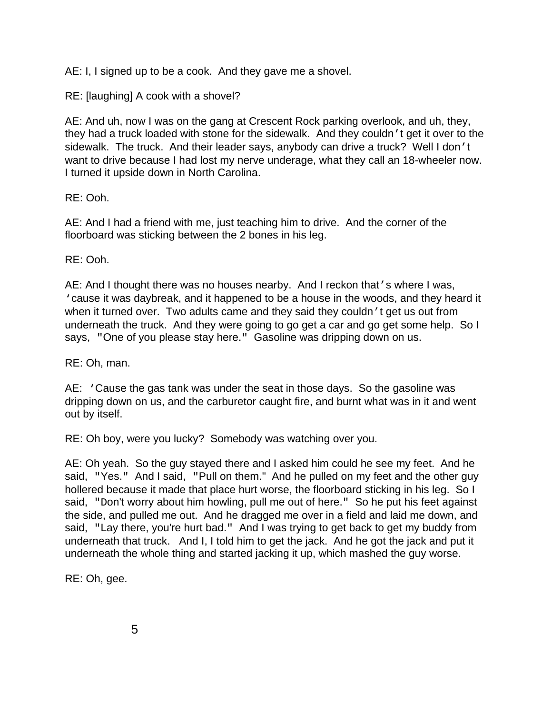AE: I, I signed up to be a cook. And they gave me a shovel.

RE: [laughing] A cook with a shovel?

 sidewalk. The truck. And their leader says, anybody can drive a truck? Well I don't want to drive because I had lost my nerve underage, what they call an 18-wheeler now.<br>I turned it upside down in North Carolina. AE: And uh, now I was on the gang at Crescent Rock parking overlook, and uh, they, they had a truck loaded with stone for the sidewalk. And they couldn't get it over to the

RE: Ooh.

AE: And I had a friend with me, just teaching him to drive. And the corner of the floorboard was sticking between the 2 bones in his leg.

RE: Ooh.

 when it turned over. Two adults came and they said they couldn't get us out from underneath the truck. And they were going to go get a car and go get some help. So I says, "One of you please stay here." Gasoline was dripping down on us. AE: And I thought there was no houses nearby. And I reckon that's where I was, 'cause it was daybreak, and it happened to be a house in the woods, and they heard it

RE: Oh, man.

AE: 'Cause the gas tank was under the seat in those days. So the gasoline was dripping down on us, and the carburetor caught fire, and burnt what was in it and went out by itself.

RE: Oh boy, were you lucky? Somebody was watching over you.

 AE: Oh yeah. So the guy stayed there and I asked him could he see my feet. And he said, "Yes." And I said, "Pull on them." And he pulled on my feet and the other guy said, "Don't worry about him howling, pull me out of here." So he put his feet against said, "Lay there, you're hurt bad." And I was trying to get back to get my buddy from underneath that truck. And I, I told him to get the jack. And he got the jack and put it hollered because it made that place hurt worse, the floorboard sticking in his leg. So I the side, and pulled me out. And he dragged me over in a field and laid me down, and underneath the whole thing and started jacking it up, which mashed the guy worse.

RE: Oh, gee.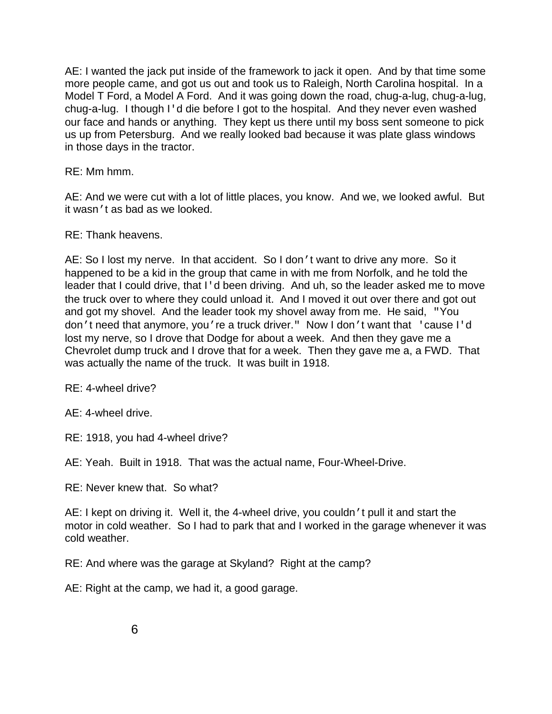<span id="page-8-0"></span> us up from Petersburg. And we really looked bad because it was plate glass windows in those days in the tractor.<br>RE: Mm hmm. AE: I wanted the jack put inside of the framework to jack it open. And by that time some more people came, and got us out and took us to Raleigh, North Carolina hospital. In a Model T Ford, a Model A Ford. And it was going down the road, chug-a-lug, chug-a-lug, chug-a-lug. I though I'd die before I got to the hospital. And they never even washed our face and hands or anything. They kept us there until my boss sent someone to pick

it wasn*'* t as bad as we looked.<br>RE: Thank heavens. AE: And we were cut with a lot of little places, you know. And we, we looked awful. But

 AE: So I lost my nerve. In that accident. So I don't want to drive any more. So it and got my shovel. And the leader took my shovel away from me. He said, "You don't need that anymore, you're a truck driver." Now I don't want that 'cause I'd lost my nerve, so I drove that Dodge for about a week. And then they gave me a Chevrolet dump truck and I drove that for a week. Then they gave me a, a FWD. That was actually the name of the truck. It was built in 1918. happened to be a kid in the group that came in with me from Norfolk, and he told the leader that I could drive, that I'd been driving. And uh, so the leader asked me to move the truck over to where they could unload it. And I moved it out over there and got out

RE: 4-wheel drive?

AE: 4-wheel drive.

RE: 1918, you had 4-wheel drive?

AE: Yeah. Built in 1918. That was the actual name, Four-Wheel-Drive.

RE: Never knew that. So what?

 AE: I kept on driving it. Well it, the 4-wheel drive, you couldn't pull it and start the cold weather. motor in cold weather. So I had to park that and I worked in the garage whenever it was

RE: And where was the garage at Skyland? Right at the camp?

AE: Right at the camp, we had it, a good garage.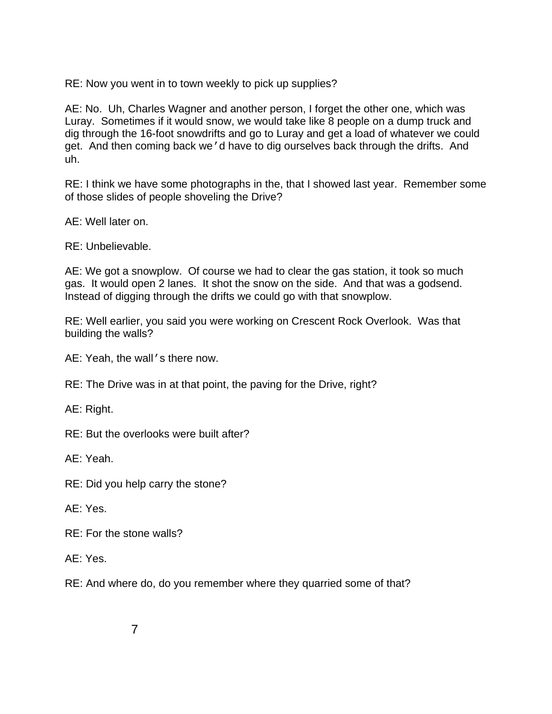<span id="page-9-0"></span>RE: Now you went in to town weekly to pick up supplies?

AE: No. Uh, Charles Wagner and another person, I forget the other one, which was Luray. Sometimes if it would snow, we would take like 8 people on a dump truck and dig through the 16-foot snowdrifts and go to Luray and get a load of whatever we could get. And then coming back we'd have to dig ourselves back through the drifts. And uh.

RE: I think we have some photographs in the, that I showed last year. Remember some of those slides of people shoveling the Drive?

AE: Well later on.

RE: Unbelievable.

gas. It would open 2 lanes. It shot the snow on the side. And that was a godsend.<br>Instead of digging through the drifts we could go with that snowplow. AE: We got a snowplow. Of course we had to clear the gas station, it took so much

RE: Well earlier, you said you were working on Crescent Rock Overlook. Was that building the walls?

AE: Yeah, the wall's there now.

RE: The Drive was in at that point, the paving for the Drive, right?

AE: Right.

RE: But the overlooks were built after?

AE: Yeah.

RE: Did you help carry the stone?

AE: Yes.

RE: For the stone walls?

AE: Yes.

RE: And where do, do you remember where they quarried some of that?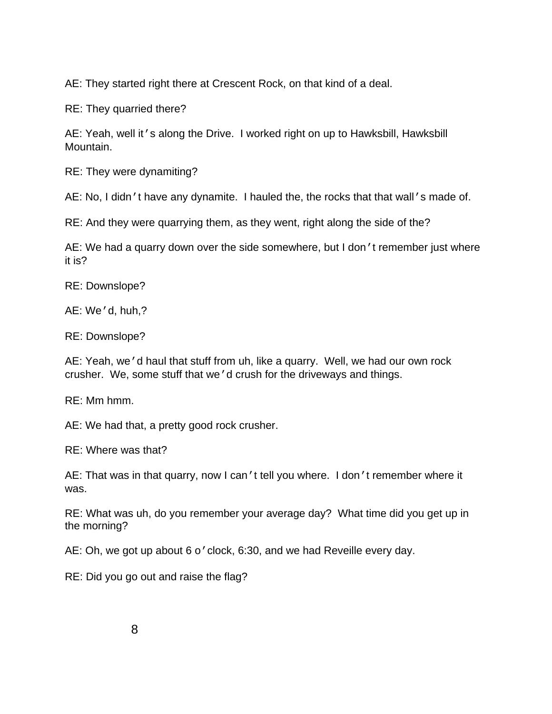<span id="page-10-0"></span>AE: They started right there at Crescent Rock, on that kind of a deal.

RE: They quarried there?

 AE: Yeah, well it's along the Drive. I worked right on up to Hawksbill, Hawksbill Mountain.

RE: They were dynamiting?

AE: No, I didn't have any dynamite. I hauled the, the rocks that that wall's made of.

RE: And they were quarrying them, as they went, right along the side of the?

AE: We had a quarry down over the side somewhere, but I don 't remember just where it is?

RE: Downslope?

AE: We'd, huh,?

RE: Downslope?

 crusher. We, some stuff that we'd crush for the driveways and things. AE: Yeah, we'd haul that stuff from uh, like a quarry. Well, we had our own rock

RE: Mm hmm.

AE: We had that, a pretty good rock crusher.

RE: Where was that?

AE: That was in that quarry, now I can't tell you where. I don't remember where it was.

RE: What was uh, do you remember your average day? What time did you get up in the morning?

AE: Oh, we got up about 6 o'clock, 6:30, and we had Reveille every day.

RE: Did you go out and raise the flag?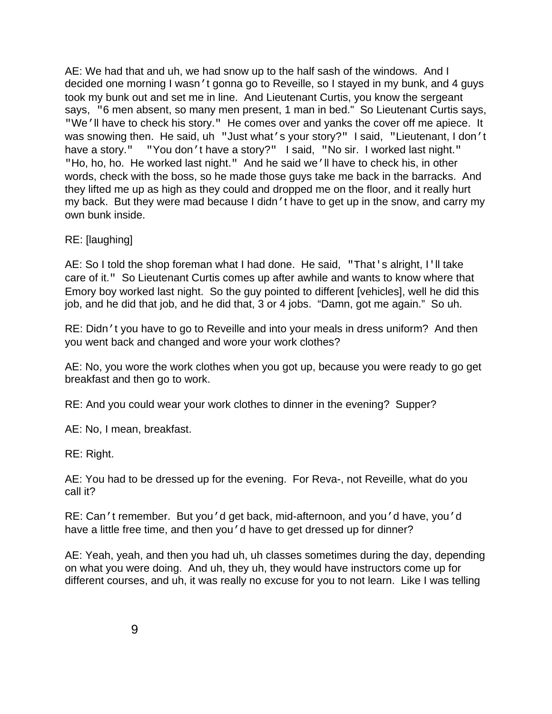"We'll have to check his story." He comes over and yanks the cover off me apiece. It was snowing then. He said, uh "Just what's your story?" I said, "Lieutenant, I don't have a story." "You don't have a story?" I said, "No sir. I worked last night." "Ho, ho, ho. He worked last night." And he said we'll have to check his, in other they lifted me up as high as they could and dropped me on the floor, and it really hurt my back. But they were mad because I didn't have to get up in the snow, and carry my AE: We had that and uh, we had snow up to the half sash of the windows. And I decided one morning I wasn't gonna go to Reveille, so I stayed in my bunk, and 4 guys took my bunk out and set me in line. And Lieutenant Curtis, you know the sergeant says, "6 men absent, so many men present, 1 man in bed." So Lieutenant Curtis says, words, check with the boss, so he made those guys take me back in the barracks. And own bunk inside.

#### RE: [laughing]

 care of it." So Lieutenant Curtis comes up after awhile and wants to know where that AE: So I told the shop foreman what I had done. He said, "That's alright, I'll take Emory boy worked last night. So the guy pointed to different [vehicles], well he did this job, and he did that job, and he did that, 3 or 4 jobs. "Damn, got me again." So uh.

RE: Didn't you have to go to Reveille and into your meals in dress uniform? And then you went back and changed and wore your work clothes?

AE: No, you wore the work clothes when you got up, because you were ready to go get breakfast and then go to work.

RE: And you could wear your work clothes to dinner in the evening? Supper?

AE: No, I mean, breakfast.

RE: Right.

AE: You had to be dressed up for the evening. For Reva-, not Reveille, what do you call it?

RE: Can't remember. But you'd get back, mid-afternoon, and you'd have, you'd have a little free time, and then you 'd have to get dressed up for dinner?

AE: Yeah, yeah, and then you had uh, uh classes sometimes during the day, depending on what you were doing. And uh, they uh, they would have instructors come up for different courses, and uh, it was really no excuse for you to not learn. Like I was telling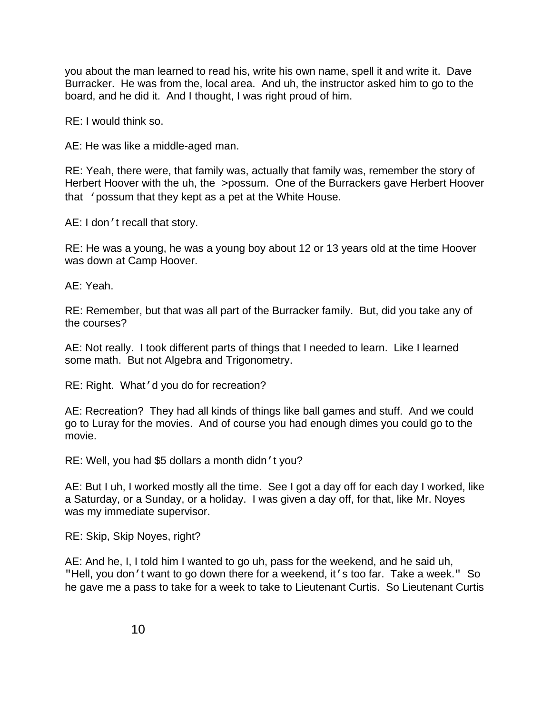<span id="page-12-0"></span>you about the man learned to read his, write his own name, spell it and write it. Dave Burracker. He was from the, local area. And uh, the instructor asked him to go to the board, and he did it. And I thought, I was right proud of him.

RE: I would think so.

AE: He was like a middle-aged man.

RE: Yeah, there were, that family was, actually that family was, remember the story of Herbert Hoover with the uh, the >possum. One of the Burrackers gave Herbert Hoover that 'possum that they kept as a pet at the White House.

AE: I don't recall that story.

RE: He was a young, he was a young boy about 12 or 13 years old at the time Hoover was down at Camp Hoover.

AE: Yeah.

RE: Remember, but that was all part of the Burracker family. But, did you take any of the courses?

AE: Not really. I took different parts of things that I needed to learn. Like I learned some math. But not Algebra and Trigonometry.

RE: Right. What'd you do for recreation?

AE: Recreation? They had all kinds of things like ball games and stuff. And we could go to Luray for the movies. And of course you had enough dimes you could go to the movie.

RE: Well, you had \$5 dollars a month didn't you?

AE: But I uh, I worked mostly all the time. See I got a day off for each day I worked, like a Saturday, or a Sunday, or a holiday. I was given a day off, for that, like Mr. Noyes was my immediate supervisor.

RE: Skip, Skip Noyes, right?

"Hell, you don't want to go down there for a weekend, it's too far. Take a week." So AE: And he, I, I told him I wanted to go uh, pass for the weekend, and he said uh, he gave me a pass to take for a week to take to Lieutenant Curtis. So Lieutenant Curtis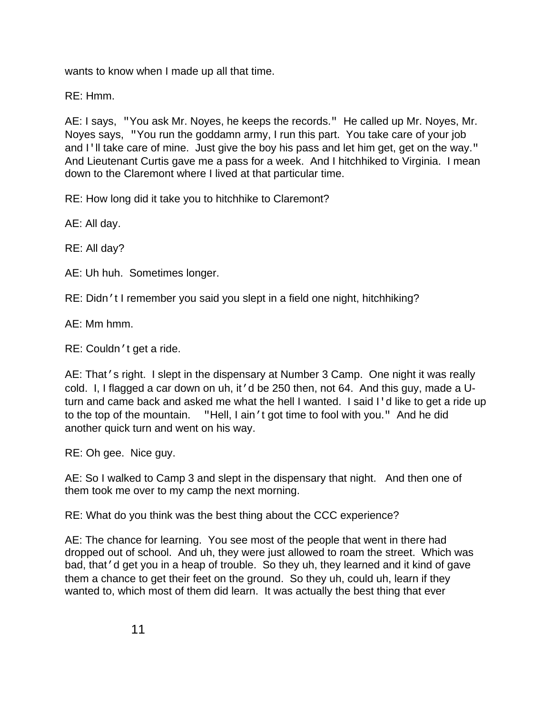wants to know when I made up all that time.

RE: Hmm.

 AE: I says, "You ask Mr. Noyes, he keeps the records." He called up Mr. Noyes, Mr. and I'll take care of mine. Just give the boy his pass and let him get, get on the way." And Lieutenant Curtis gave me a pass for a week. And I hitchhiked to Virginia. I mean Noyes says, "You run the goddamn army, I run this part. You take care of your job down to the Claremont where I lived at that particular time.

RE: How long did it take you to hitchhike to Claremont?

AE: All day.

RE: All day?

AE: Uh huh. Sometimes longer.

RE: Didn't I remember you said you slept in a field one night, hitchhiking?

AE: Mm hmm.

RE: Couldn't get a ride.

 turn and came back and asked me what the hell I wanted. I said I'd like to get a ride up to the top of the mountain. "Hell, I ain't got time to fool with you." And he did AE: That's right. I slept in the dispensary at Number 3 Camp. One night it was really cold. I, I flagged a car down on uh, it'd be 250 then, not 64. And this guy, made a Uanother quick turn and went on his way.

RE: Oh gee. Nice guy.

 AE: So I walked to Camp 3 and slept in the dispensary that night. And then one of them took me over to my camp the next morning.

RE: What do you think was the best thing about the CCC experience?

AE: The chance for learning. You see most of the people that went in there had dropped out of school. And uh, they were just allowed to roam the street. Which was bad, that'd get you in a heap of trouble. So they uh, they learned and it kind of gave them a chance to get their feet on the ground. So they uh, could uh, learn if they wanted to, which most of them did learn. It was actually the best thing that ever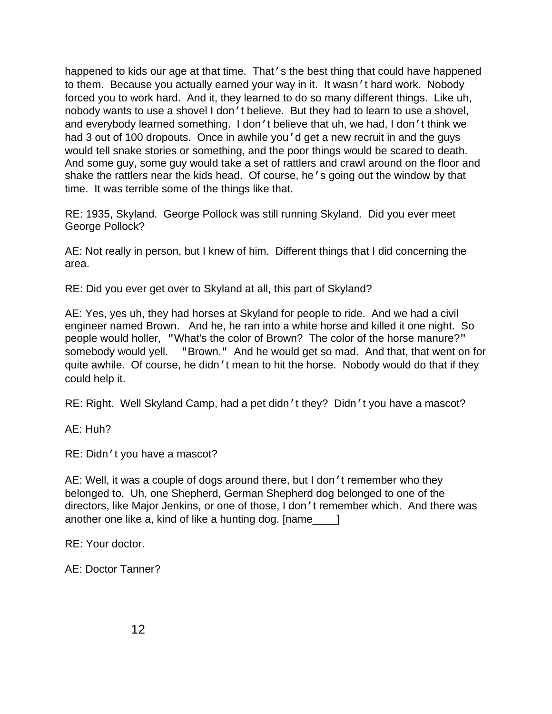<span id="page-14-0"></span> and everybody learned something. I don't believe that uh, we had, I don't think we would tell snake stories or something, and the poor things would be scared to death. time. It was terrible some of the things like that. happened to kids our age at that time. That's the best thing that could have happened to them. Because you actually earned your way in it. It wasn't hard work. Nobody forced you to work hard. And it, they learned to do so many different things. Like uh, nobody wants to use a shovel I don't believe. But they had to learn to use a shovel, had 3 out of 100 dropouts. Once in awhile you 'd get a new recruit in and the guys And some guy, some guy would take a set of rattlers and crawl around on the floor and shake the rattlers near the kids head. Of course, he's going out the window by that

 RE: 1935, Skyland. George Pollock was still running Skyland. Did you ever meet George Pollock?

 AE: Not really in person, but I knew of him. Different things that I did concerning the area.

RE: Did you ever get over to Skyland at all, this part of Skyland?

 engineer named Brown. And he, he ran into a white horse and killed it one night. So somebody would yell. "Brown." And he would get so mad. And that, that went on for quite awhile. Of course, he didn't mean to hit the horse. Nobody would do that if they AE: Yes, yes uh, they had horses at Skyland for people to ride. And we had a civil people would holler, "What's the color of Brown? The color of the horse manure?" could help it.

RE: Right. Well Skyland Camp, had a pet didn't they? Didn't you have a mascot?

AE: Huh?

RE: Didn't you have a mascot?

AE: Well, it was a couple of dogs around there, but I don't remember who they belonged to. Uh, one Shepherd, German Shepherd dog belonged to one of the directors, like Major Jenkins, or one of those, I don't remember which. And there was another one like a, kind of like a hunting dog. [name\_\_\_\_]

RE: Your doctor.

AE: Doctor Tanner?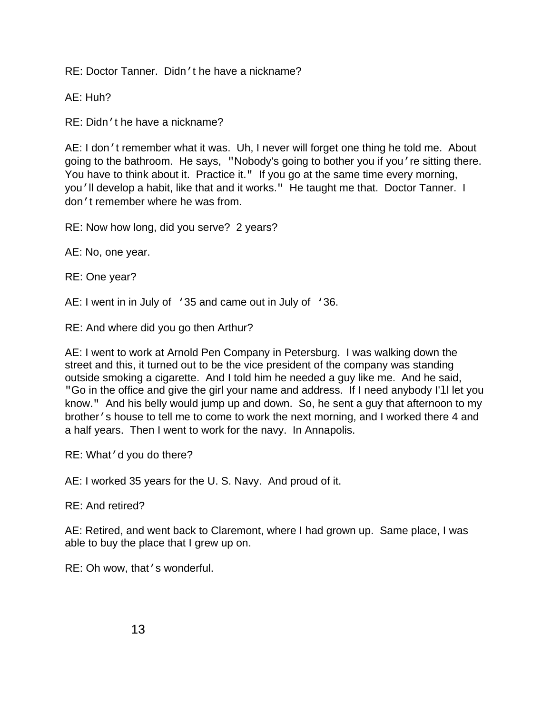RE: Doctor Tanner. Didn't he have a nickname?

AE: Huh?

RE: Didn't he have a nickname?

 You have to think about it. Practice it." If you go at the same time every morning, you'll develop a habit, like that and it works." He taught me that. Doctor Tanner. I AE: I don't remember what it was. Uh, I never will forget one thing he told me. About going to the bathroom. He says, "Nobody's going to bother you if you're sitting there. don't remember where he was from.

RE: Now how long, did you serve? 2 years?

AE: No, one year.

RE: One year?

AE: I went in in July of  $\rightarrow$  35 and came out in July of  $\rightarrow$  36.

RE: And where did you go then Arthur?

 AE: I went to work at Arnold Pen Company in Petersburg. I was walking down the "Go in the office and give the girl your name and address. If I need anybody I'll let you know." And his belly would jump up and down. So, he sent a guy that afternoon to my a half years. Then I went to work for the navy. In Annapolis. street and this, it turned out to be the vice president of the company was standing outside smoking a cigarette. And I told him he needed a guy like me. And he said, brother's house to tell me to come to work the next morning, and I worked there 4 and

RE: What'd you do there?

AE: I worked 35 years for the U. S. Navy. And proud of it.

RE: And retired?

able to buy the place that I grew up on.<br>RE: Oh wow, that <sup>,</sup> s wonderful. AE: Retired, and went back to Claremont, where I had grown up. Same place, I was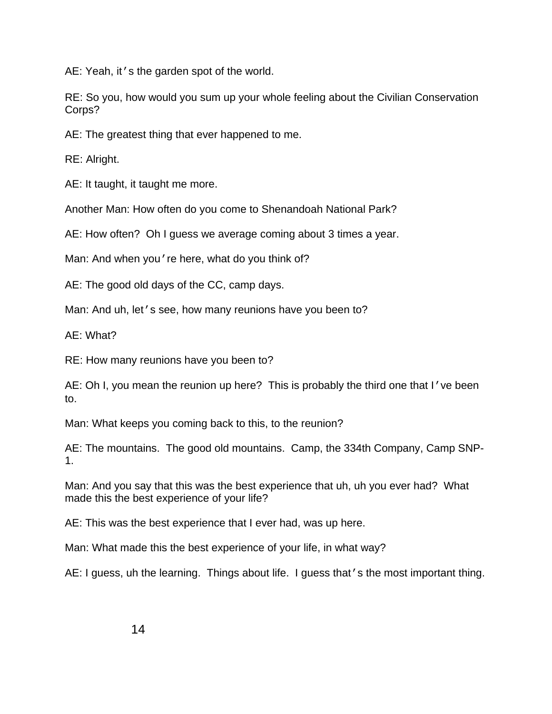<span id="page-16-0"></span>AE: Yeah, it's the garden spot of the world.

RE: So you, how would you sum up your whole feeling about the Civilian Conservation Corps?

AE: The greatest thing that ever happened to me.

RE: Alright.

AE: It taught, it taught me more.

Another Man: How often do you come to Shenandoah National Park?

AE: How often? Oh I guess we average coming about 3 times a year.

Man: And when you're here, what do you think of?

AE: The good old days of the CC, camp days.

Man: And uh, let's see, how many reunions have you been to?

AE: What?

RE: How many reunions have you been to?

AE: Oh I, you mean the reunion up here? This is probably the third one that I've been to.

Man: What keeps you coming back to this, to the reunion?

AE: The mountains. The good old mountains. Camp, the 334th Company, Camp SNP-1.

Man: And you say that this was the best experience that uh, uh you ever had? What made this the best experience of your life?

AE: This was the best experience that I ever had, was up here.

Man: What made this the best experience of your life, in what way?

AE: I guess, uh the learning. Things about life. I guess that's the most important thing.